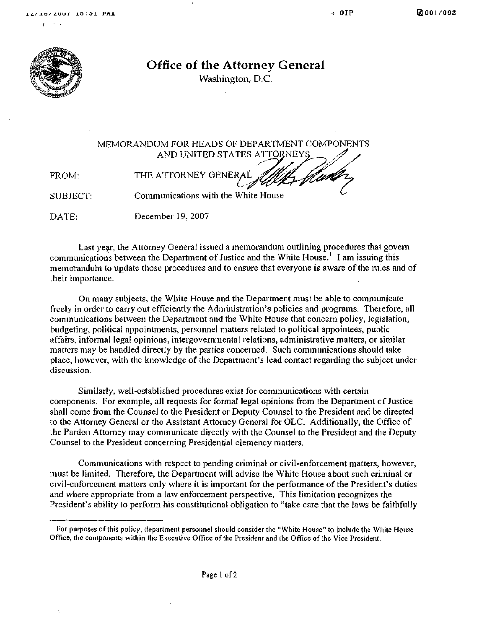

Office of the Attorney General

Washington, D.C. Washington, D.C.

MEMORANDUM FOR HEADS OF DEPARTMENT COMPONENTS AND UNITED STATES ATTORNEYS FROM: THE ATTORNEY GENERAL SUBJECT: Communications with the White House

DATE: December 19, 2007

Last year, the Attorney General issued a memorandum outlining procedures that govern communications between the Department of Justice and the White House.<sup>1</sup> I am issuing this memorandum to update those procedures and to ensure that everyone is aware of the rules and of their importance.

On many subjects, the White House and the Department must be able to communicate freely in order to carry out efficiently the Administration's policies and programs. Therefore, all communications between the Department and the White House that concern policy, legislation, budgeting, political appointments, personnel matters related to political appointees, public affairs, informal legal opinions, intergovernmental relations, administrative matters, or similar matters may be handled directly by the parties concerned. Such communications should take place, however, with the knowledge of the Department's lead contact regarding the subject under discussion.

Similarly, well-established procedures exist for communications with certain components. For example, all requests for formal legal opinions from the Department of Justice shall come from the Counsel to the President or Deputy Counsel to the President and be directed to the Attorney General or the Assistant Attorney General for OLC. Additionally, the Office of the Pardon Attorney may communicate directly with the Counsel to the President and the Deputy Counsel to the President concerning Presidential clemency matters.

Communications with respect to pending criminal or civil-enforcement matters, however, must be limited. Therefore, the Department will advise the White House about such cri:ninal or civil-enforcement matters only where it is important for the performance of the President's duties and where appropriate from a law enforcement perspective. This limitation recognizes the President's ability to perform his constitutional obligation to "take care that the laws be faithfully

For purposes of this policy, department personnel should consider the "White House" to include the White House Office, the components within the Executive Office of the President and the Office of the Vice President.